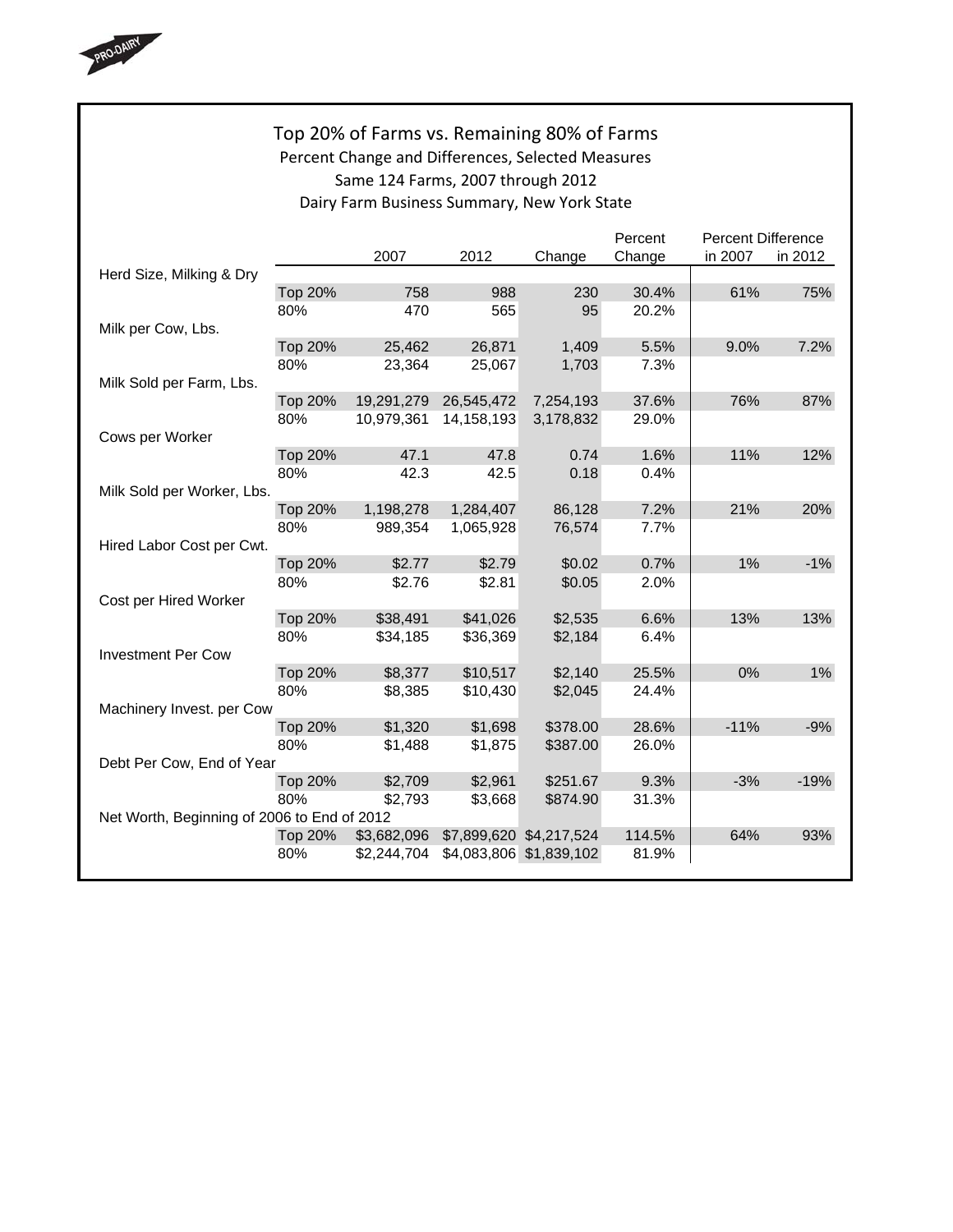

## Top 20% of Farms vs. Remaining 80% of Farms Percent Change and Differences, Selected Measures Same 124 Farms, 2007 through 2012 Dairy Farm Business Summary, New York State

|                                             |                |             |             |                         | Percent | <b>Percent Difference</b> |         |  |
|---------------------------------------------|----------------|-------------|-------------|-------------------------|---------|---------------------------|---------|--|
|                                             |                | 2007        | 2012        | Change                  | Change  | in 2007                   | in 2012 |  |
| Herd Size, Milking & Dry                    |                |             |             |                         |         |                           |         |  |
|                                             | <b>Top 20%</b> | 758         | 988         | 230                     | 30.4%   | 61%                       | 75%     |  |
|                                             | 80%            | 470         | 565         | 95                      | 20.2%   |                           |         |  |
| Milk per Cow, Lbs.                          |                |             |             |                         |         |                           |         |  |
|                                             | <b>Top 20%</b> | 25,462      | 26,871      | 1,409                   | 5.5%    | 9.0%                      | 7.2%    |  |
|                                             | 80%            | 23,364      | 25,067      | 1,703                   | 7.3%    |                           |         |  |
| Milk Sold per Farm, Lbs.                    |                |             |             |                         |         |                           |         |  |
|                                             | <b>Top 20%</b> | 19,291,279  | 26,545,472  | 7,254,193               | 37.6%   | 76%                       | 87%     |  |
|                                             | 80%            | 10,979,361  | 14,158,193  | 3,178,832               | 29.0%   |                           |         |  |
| Cows per Worker                             |                |             |             |                         |         |                           |         |  |
|                                             | <b>Top 20%</b> | 47.1        | 47.8        | 0.74                    | 1.6%    | 11%                       | 12%     |  |
|                                             | 80%            | 42.3        | 42.5        | 0.18                    | 0.4%    |                           |         |  |
| Milk Sold per Worker, Lbs.                  |                |             |             |                         |         |                           |         |  |
|                                             | <b>Top 20%</b> | 1,198,278   | 1,284,407   | 86,128                  | 7.2%    | 21%                       | 20%     |  |
|                                             | 80%            | 989,354     | 1,065,928   | 76,574                  | 7.7%    |                           |         |  |
| Hired Labor Cost per Cwt.                   |                |             |             |                         |         |                           |         |  |
|                                             | <b>Top 20%</b> | \$2.77      | \$2.79      | \$0.02                  | 0.7%    | 1%                        | $-1%$   |  |
|                                             | 80%            | \$2.76      | \$2.81      | \$0.05                  | 2.0%    |                           |         |  |
| Cost per Hired Worker                       |                |             |             |                         |         |                           |         |  |
|                                             | <b>Top 20%</b> | \$38,491    | \$41,026    | \$2,535                 | 6.6%    | 13%                       | 13%     |  |
|                                             | 80%            | \$34,185    | \$36,369    | \$2,184                 | 6.4%    |                           |         |  |
| <b>Investment Per Cow</b>                   |                |             |             |                         |         |                           |         |  |
|                                             | Top 20%        | \$8,377     | \$10,517    | \$2,140                 | 25.5%   | 0%                        | 1%      |  |
|                                             | 80%            | \$8,385     | \$10,430    | \$2,045                 | 24.4%   |                           |         |  |
| Machinery Invest. per Cow                   |                |             |             |                         |         |                           |         |  |
|                                             | <b>Top 20%</b> | \$1,320     | \$1,698     | \$378.00                | 28.6%   | $-11%$                    | $-9%$   |  |
|                                             | 80%            | \$1,488     | \$1,875     | \$387.00                | 26.0%   |                           |         |  |
| Debt Per Cow, End of Year                   |                |             |             |                         |         |                           |         |  |
|                                             | <b>Top 20%</b> | \$2,709     | \$2,961     | \$251.67                | 9.3%    | $-3%$                     | $-19%$  |  |
|                                             | 80%            | \$2,793     | \$3,668     | \$874.90                | 31.3%   |                           |         |  |
| Net Worth, Beginning of 2006 to End of 2012 |                |             |             |                         |         |                           |         |  |
|                                             | <b>Top 20%</b> | \$3,682,096 |             | \$7,899,620 \$4,217,524 | 114.5%  | 64%                       | 93%     |  |
|                                             | 80%            | \$2,244,704 | \$4,083,806 | \$1,839,102             | 81.9%   |                           |         |  |
|                                             |                |             |             |                         |         |                           |         |  |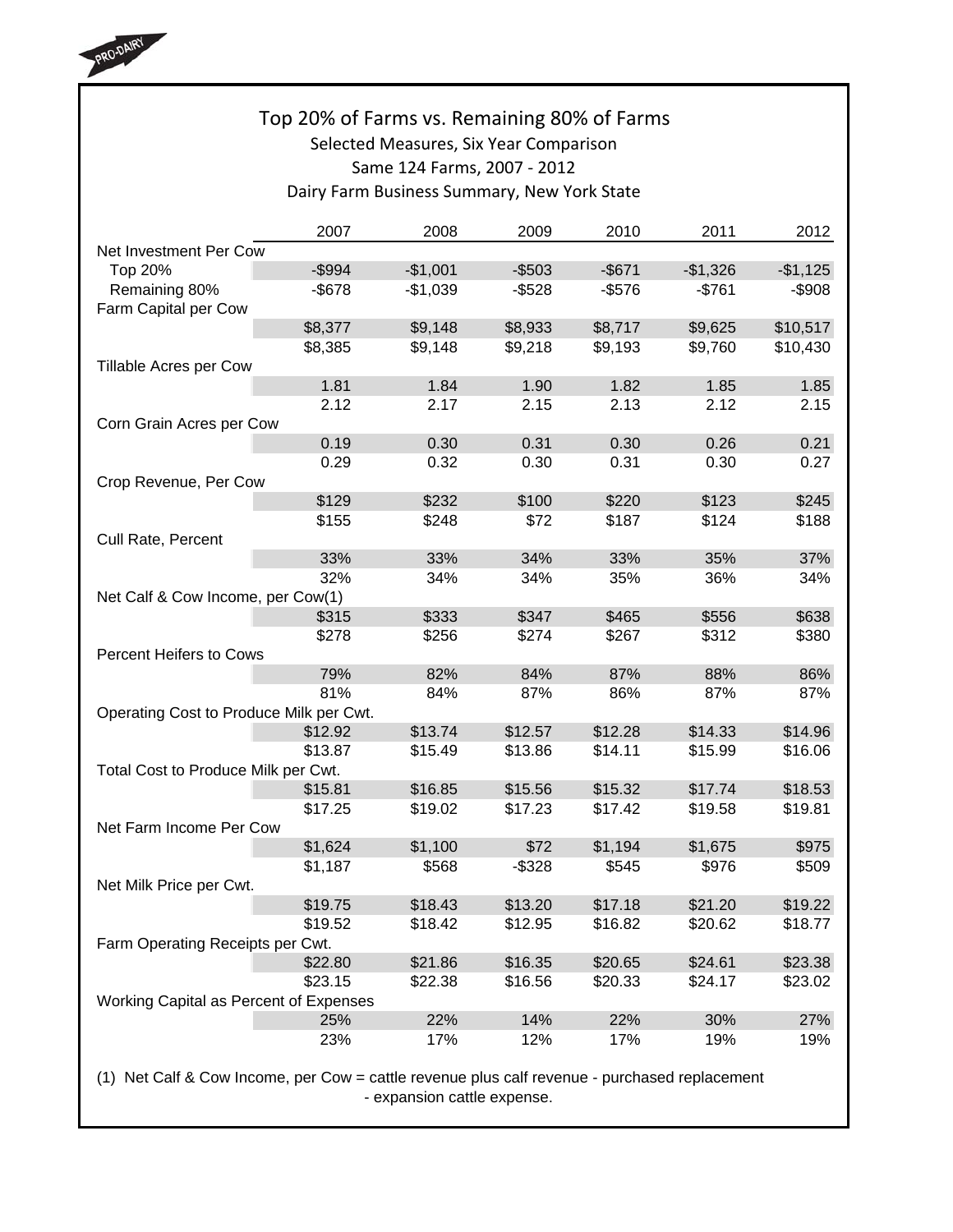

# Top 20% of Farms vs. Remaining 80% of Farms Selected Measures, Six Year Comparison Same 124 Farms, 2007 ‐ 2012 Dairy Farm Business Summary, New York State

|                                         | 2007      | 2008      | 2009      | 2010      | 2011      | 2012      |
|-----------------------------------------|-----------|-----------|-----------|-----------|-----------|-----------|
| Net Investment Per Cow                  |           |           |           |           |           |           |
| Top 20%                                 | $-$ \$994 | $-$1,001$ | $-$ \$503 | $-$ \$671 | $-$1,326$ | $-$1,125$ |
| Remaining 80%<br>Farm Capital per Cow   | $-$ \$678 | $-$1,039$ | $-$ \$528 | $-$576$   | $-$761$   | $-$908$   |
|                                         | \$8,377   | \$9,148   | \$8,933   | \$8,717   | \$9,625   | \$10,517  |
|                                         | \$8,385   | \$9,148   | \$9,218   | \$9,193   | \$9,760   | \$10,430  |
| Tillable Acres per Cow                  |           |           |           |           |           |           |
|                                         | 1.81      | 1.84      | 1.90      | 1.82      | 1.85      | 1.85      |
|                                         | 2.12      | 2.17      | 2.15      | 2.13      | 2.12      | 2.15      |
| Corn Grain Acres per Cow                |           |           |           |           |           |           |
|                                         | 0.19      | 0.30      | 0.31      | 0.30      | 0.26      | 0.21      |
|                                         | 0.29      | 0.32      | 0.30      | 0.31      | 0.30      | 0.27      |
|                                         |           |           |           |           |           |           |
| Crop Revenue, Per Cow                   |           | \$232     | \$100     | \$220     | \$123     | \$245     |
|                                         | \$129     |           |           |           |           |           |
| Cull Rate, Percent                      | \$155     | \$248     | \$72      | \$187     | \$124     | \$188     |
|                                         | 33%       | 33%       | 34%       | 33%       | 35%       | 37%       |
|                                         | 32%       | 34%       | 34%       | 35%       | 36%       | 34%       |
| Net Calf & Cow Income, per Cow(1)       |           |           |           |           |           |           |
|                                         | \$315     | \$333     | \$347     | \$465     | \$556     | \$638     |
|                                         | \$278     | \$256     | \$274     | \$267     | \$312     | \$380     |
| <b>Percent Heifers to Cows</b>          |           |           |           |           |           |           |
|                                         | 79%       | 82%       | 84%       | 87%       | 88%       | 86%       |
|                                         | 81%       | 84%       | 87%       | 86%       | 87%       | 87%       |
| Operating Cost to Produce Milk per Cwt. |           |           |           |           |           |           |
|                                         | \$12.92   | \$13.74   | \$12.57   | \$12.28   | \$14.33   | \$14.96   |
|                                         | \$13.87   | \$15.49   | \$13.86   | \$14.11   | \$15.99   | \$16.06   |
| Total Cost to Produce Milk per Cwt.     |           |           |           |           |           |           |
|                                         | \$15.81   | \$16.85   | \$15.56   | \$15.32   | \$17.74   | \$18.53   |
|                                         | \$17.25   | \$19.02   | \$17.23   | \$17.42   | \$19.58   | \$19.81   |
| Net Farm Income Per Cow                 |           |           |           |           |           |           |
|                                         | \$1,624   | \$1,100   | \$72      | \$1,194   | \$1,675   | \$975     |
|                                         | \$1,187   | \$568     | $-$ \$328 | \$545     | \$976     | \$509     |
| Net Milk Price per Cwt.                 |           |           |           |           |           |           |
|                                         | \$19.75   | \$18.43   | \$13.20   | \$17.18   | \$21.20   | \$19.22   |
|                                         | \$19.52   | \$18.42   | \$12.95   | \$16.82   | \$20.62   | \$18.77   |
| Farm Operating Receipts per Cwt.        |           |           |           |           |           |           |
|                                         | \$22.80   | \$21.86   | \$16.35   | \$20.65   | \$24.61   | \$23.38   |
|                                         | \$23.15   | \$22.38   | \$16.56   | \$20.33   | \$24.17   | \$23.02   |
| Working Capital as Percent of Expenses  |           |           |           |           |           |           |
|                                         | 25%       | 22%       | 14%       | 22%       | 30%       | 27%       |
|                                         | 23%       | 17%       | 12%       | 17%       | 19%       | 19%       |
|                                         |           |           |           |           |           |           |

(1) Net Calf & Cow Income, per Cow = cattle revenue plus calf revenue - purchased replacement - expansion cattle expense.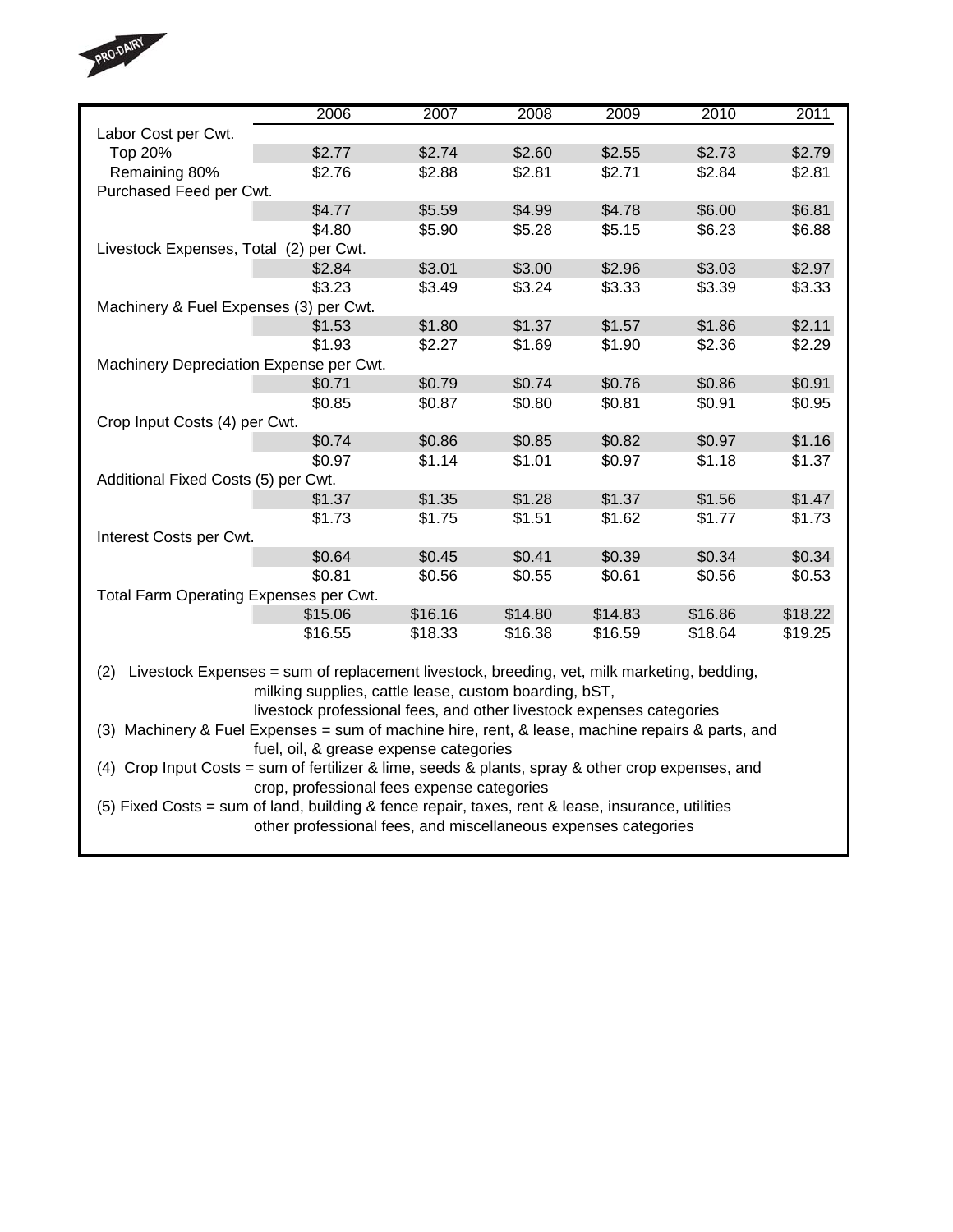

|                                                                                                   | 2006                                                                 | 2007    | 2008    | 2009    | 2010    | 2011    |  |  |  |  |  |
|---------------------------------------------------------------------------------------------------|----------------------------------------------------------------------|---------|---------|---------|---------|---------|--|--|--|--|--|
| Labor Cost per Cwt.                                                                               |                                                                      |         |         |         |         |         |  |  |  |  |  |
| Top 20%                                                                                           | \$2.77                                                               | \$2.74  | \$2.60  | \$2.55  | \$2.73  | \$2.79  |  |  |  |  |  |
| Remaining 80%                                                                                     | \$2.76                                                               | \$2.88  | \$2.81  | \$2.71  | \$2.84  | \$2.81  |  |  |  |  |  |
| Purchased Feed per Cwt.                                                                           |                                                                      |         |         |         |         |         |  |  |  |  |  |
|                                                                                                   | \$4.77                                                               | \$5.59  | \$4.99  | \$4.78  | \$6.00  | \$6.81  |  |  |  |  |  |
|                                                                                                   | \$4.80                                                               | \$5.90  | \$5.28  | \$5.15  | \$6.23  | \$6.88  |  |  |  |  |  |
| Livestock Expenses, Total (2) per Cwt.                                                            |                                                                      |         |         |         |         |         |  |  |  |  |  |
|                                                                                                   | \$2.84                                                               | \$3.01  | \$3.00  | \$2.96  | \$3.03  | \$2.97  |  |  |  |  |  |
|                                                                                                   | \$3.23                                                               | \$3.49  | \$3.24  | \$3.33  | \$3.39  | \$3.33  |  |  |  |  |  |
| Machinery & Fuel Expenses (3) per Cwt.                                                            |                                                                      |         |         |         |         |         |  |  |  |  |  |
|                                                                                                   | \$1.53                                                               | \$1.80  | \$1.37  | \$1.57  | \$1.86  | \$2.11  |  |  |  |  |  |
|                                                                                                   | \$1.93                                                               | \$2.27  | \$1.69  | \$1.90  | \$2.36  | \$2.29  |  |  |  |  |  |
| Machinery Depreciation Expense per Cwt.                                                           |                                                                      |         |         |         |         |         |  |  |  |  |  |
|                                                                                                   | \$0.71                                                               | \$0.79  | \$0.74  | \$0.76  | \$0.86  | \$0.91  |  |  |  |  |  |
|                                                                                                   | \$0.85                                                               | \$0.87  | \$0.80  | \$0.81  | \$0.91  | \$0.95  |  |  |  |  |  |
| Crop Input Costs (4) per Cwt.                                                                     |                                                                      |         |         |         |         |         |  |  |  |  |  |
|                                                                                                   | \$0.74                                                               | \$0.86  | \$0.85  | \$0.82  | \$0.97  | \$1.16  |  |  |  |  |  |
|                                                                                                   | \$0.97                                                               | \$1.14  | \$1.01  | \$0.97  | \$1.18  | \$1.37  |  |  |  |  |  |
| Additional Fixed Costs (5) per Cwt.                                                               |                                                                      |         |         |         |         |         |  |  |  |  |  |
|                                                                                                   | \$1.37                                                               | \$1.35  | \$1.28  | \$1.37  | \$1.56  | \$1.47  |  |  |  |  |  |
|                                                                                                   | \$1.73                                                               | \$1.75  | \$1.51  | \$1.62  | \$1.77  | \$1.73  |  |  |  |  |  |
| Interest Costs per Cwt.                                                                           |                                                                      |         |         |         |         |         |  |  |  |  |  |
|                                                                                                   | \$0.64                                                               | \$0.45  | \$0.41  | \$0.39  | \$0.34  | \$0.34  |  |  |  |  |  |
|                                                                                                   | \$0.81                                                               | \$0.56  | \$0.55  | \$0.61  | \$0.56  | \$0.53  |  |  |  |  |  |
| Total Farm Operating Expenses per Cwt.                                                            |                                                                      |         |         |         |         |         |  |  |  |  |  |
|                                                                                                   | \$15.06                                                              | \$16.16 | \$14.80 | \$14.83 | \$16.86 | \$18.22 |  |  |  |  |  |
|                                                                                                   | \$16.55                                                              | \$18.33 | \$16.38 | \$16.59 | \$18.64 | \$19.25 |  |  |  |  |  |
|                                                                                                   |                                                                      |         |         |         |         |         |  |  |  |  |  |
| Livestock Expenses = sum of replacement livestock, breeding, vet, milk marketing, bedding,<br>(2) |                                                                      |         |         |         |         |         |  |  |  |  |  |
|                                                                                                   | milking supplies, cattle lease, custom boarding, bST,                |         |         |         |         |         |  |  |  |  |  |
|                                                                                                   | livestock professional fees, and other livestock expenses categories |         |         |         |         |         |  |  |  |  |  |
| (3) Machinery & Fuel Expenses = sum of machine hire, rent, & lease, machine repairs & parts, and  |                                                                      |         |         |         |         |         |  |  |  |  |  |
| fuel, oil, & grease expense categories                                                            |                                                                      |         |         |         |         |         |  |  |  |  |  |
| (4) Crop Input Costs = sum of fertilizer & lime, seeds & plants, spray & other crop expenses, and |                                                                      |         |         |         |         |         |  |  |  |  |  |
|                                                                                                   | crop, professional fees expense categories                           |         |         |         |         |         |  |  |  |  |  |
| (5) Fixed Costs = sum of land, building & fence repair, taxes, rent & lease, insurance, utilities |                                                                      |         |         |         |         |         |  |  |  |  |  |
|                                                                                                   | other professional fees, and miscellaneous expenses categories       |         |         |         |         |         |  |  |  |  |  |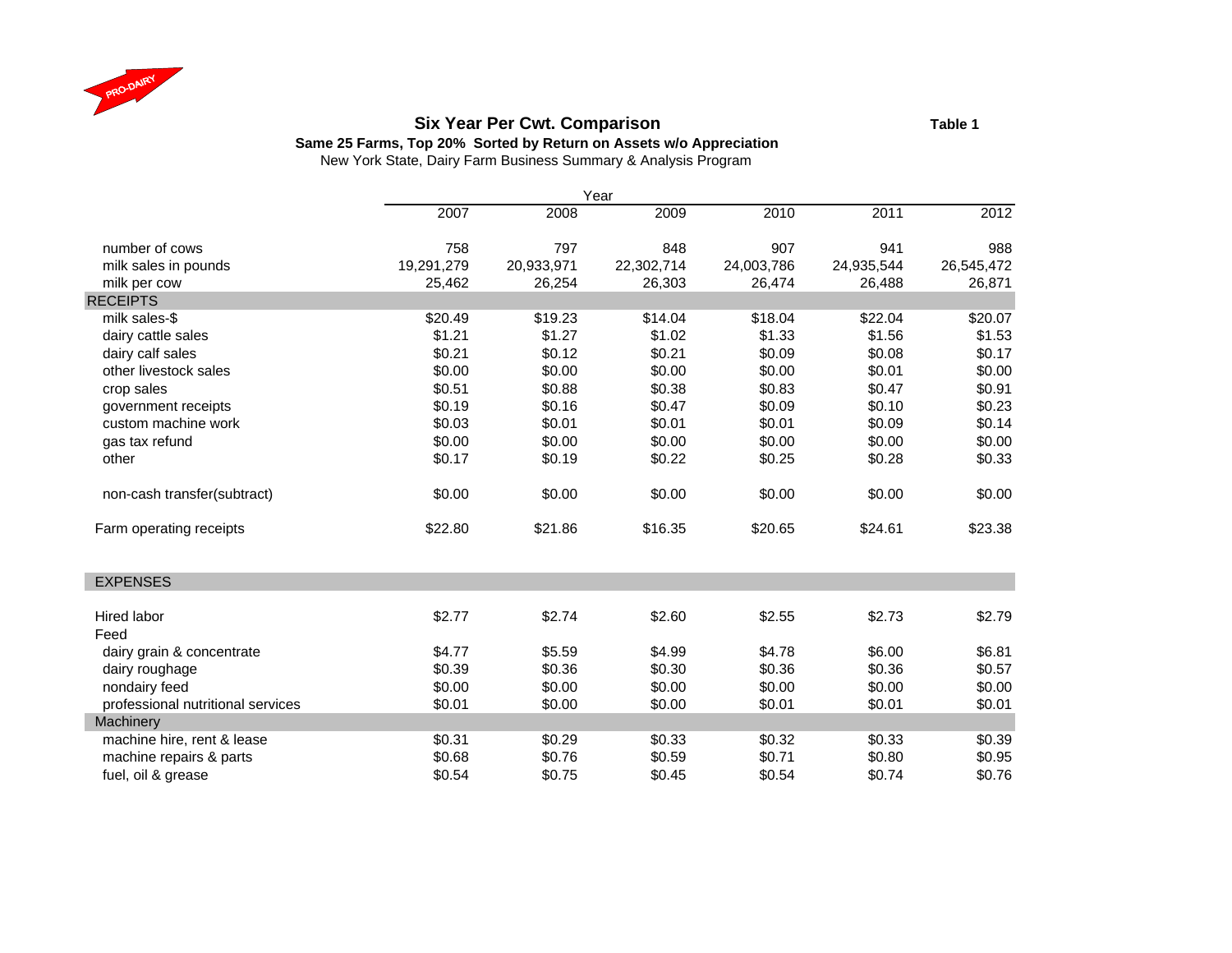

#### **Six Year Per Cwt. Comparison Table 1**

**Same 25 Farms, Top 20% Sorted by Return on Assets w/o Appreciation**

|                                   |            |            | Year       |            |            |            |
|-----------------------------------|------------|------------|------------|------------|------------|------------|
|                                   | 2007       | 2008       | 2009       | 2010       | 2011       | 2012       |
| number of cows                    | 758        | 797        | 848        | 907        | 941        | 988        |
| milk sales in pounds              | 19,291,279 | 20,933,971 | 22,302,714 | 24,003,786 | 24,935,544 | 26,545,472 |
| milk per cow                      | 25,462     | 26,254     | 26,303     | 26,474     | 26,488     | 26,871     |
| <b>RECEIPTS</b>                   |            |            |            |            |            |            |
| milk sales-\$                     | \$20.49    | \$19.23    | \$14.04    | \$18.04    | \$22.04    | \$20.07    |
| dairy cattle sales                | \$1.21     | \$1.27     | \$1.02     | \$1.33     | \$1.56     | \$1.53     |
| dairy calf sales                  | \$0.21     | \$0.12     | \$0.21     | \$0.09     | \$0.08     | \$0.17     |
| other livestock sales             | \$0.00     | \$0.00     | \$0.00     | \$0.00     | \$0.01     | \$0.00     |
| crop sales                        | \$0.51     | \$0.88     | \$0.38     | \$0.83     | \$0.47     | \$0.91     |
| government receipts               | \$0.19     | \$0.16     | \$0.47     | \$0.09     | \$0.10     | \$0.23     |
| custom machine work               | \$0.03     | \$0.01     | \$0.01     | \$0.01     | \$0.09     | \$0.14     |
| gas tax refund                    | \$0.00     | \$0.00     | \$0.00     | \$0.00     | \$0.00     | \$0.00     |
| other                             | \$0.17     | \$0.19     | \$0.22     | \$0.25     | \$0.28     | \$0.33     |
| non-cash transfer(subtract)       | \$0.00     | \$0.00     | \$0.00     | \$0.00     | \$0.00     | \$0.00     |
| Farm operating receipts           | \$22.80    | \$21.86    | \$16.35    | \$20.65    | \$24.61    | \$23.38    |
| <b>EXPENSES</b>                   |            |            |            |            |            |            |
| Hired labor                       | \$2.77     | \$2.74     | \$2.60     | \$2.55     | \$2.73     | \$2.79     |
| Feed                              |            |            |            |            |            |            |
| dairy grain & concentrate         | \$4.77     | \$5.59     | \$4.99     | \$4.78     | \$6.00     | \$6.81     |
| dairy roughage                    | \$0.39     | \$0.36     | \$0.30     | \$0.36     | \$0.36     | \$0.57     |
| nondairy feed                     | \$0.00     | \$0.00     | \$0.00     | \$0.00     | \$0.00     | \$0.00     |
| professional nutritional services | \$0.01     | \$0.00     | \$0.00     | \$0.01     | \$0.01     | \$0.01     |
| Machinery                         |            |            |            |            |            |            |
| machine hire, rent & lease        | \$0.31     | \$0.29     | \$0.33     | \$0.32     | \$0.33     | \$0.39     |
| machine repairs & parts           | \$0.68     | \$0.76     | \$0.59     | \$0.71     | \$0.80     | \$0.95     |
| fuel, oil & grease                | \$0.54     | \$0.75     | \$0.45     | \$0.54     | \$0.74     | \$0.76     |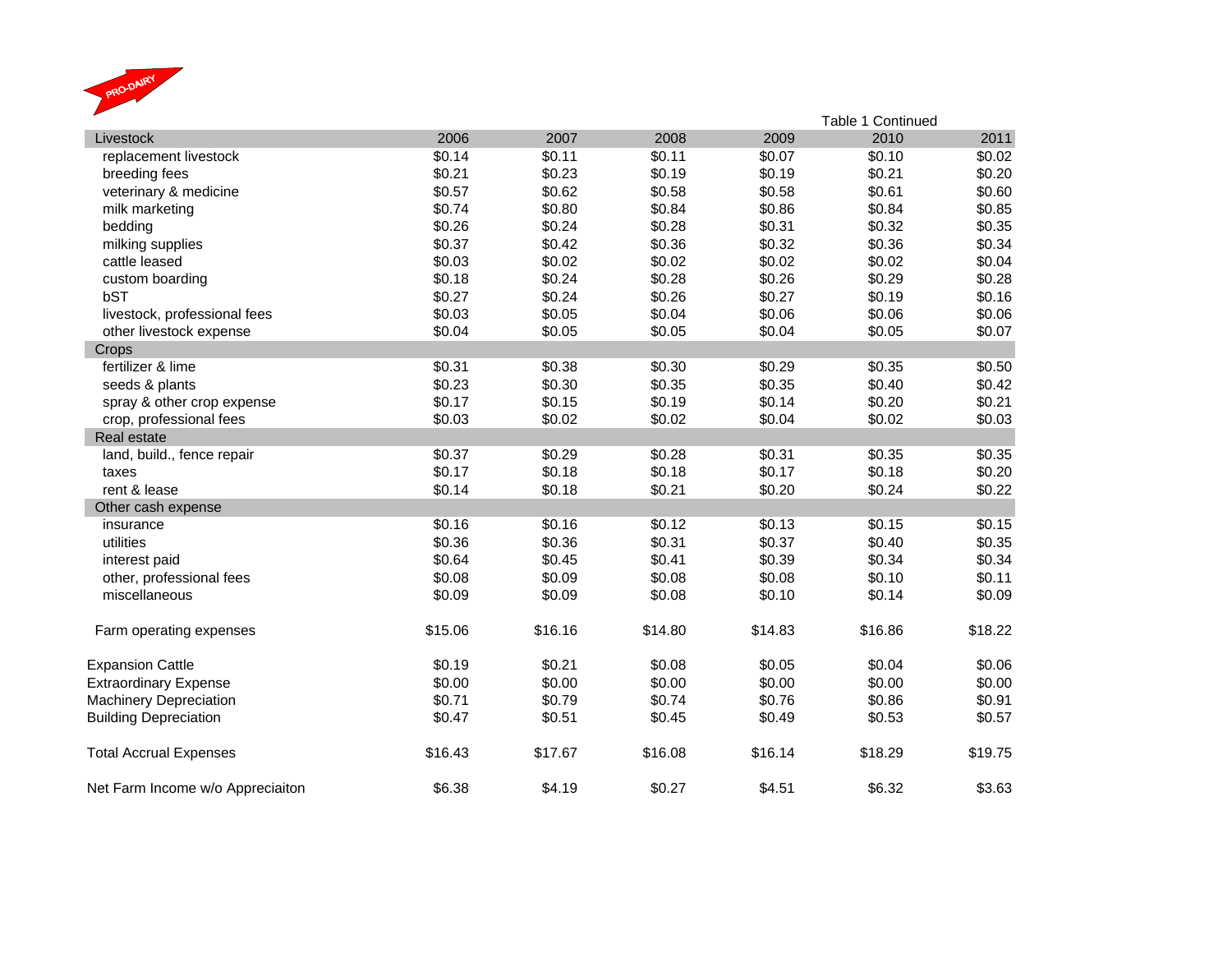

|                                  |         |         |         |         | Table 1 Continued |         |  |  |  |  |
|----------------------------------|---------|---------|---------|---------|-------------------|---------|--|--|--|--|
| Livestock                        | 2006    | 2007    | 2008    | 2009    | 2010              | 2011    |  |  |  |  |
| replacement livestock            | \$0.14  | \$0.11  | \$0.11  | \$0.07  | \$0.10            | \$0.02  |  |  |  |  |
| breeding fees                    | \$0.21  | \$0.23  | \$0.19  | \$0.19  | \$0.21            | \$0.20  |  |  |  |  |
| veterinary & medicine            | \$0.57  | \$0.62  | \$0.58  | \$0.58  | \$0.61            | \$0.60  |  |  |  |  |
| milk marketing                   | \$0.74  | \$0.80  | \$0.84  | \$0.86  | \$0.84            | \$0.85  |  |  |  |  |
| bedding                          | \$0.26  | \$0.24  | \$0.28  | \$0.31  | \$0.32            | \$0.35  |  |  |  |  |
| milking supplies                 | \$0.37  | \$0.42  | \$0.36  | \$0.32  | \$0.36            | \$0.34  |  |  |  |  |
| cattle leased                    | \$0.03  | \$0.02  | \$0.02  | \$0.02  | \$0.02            | \$0.04  |  |  |  |  |
| custom boarding                  | \$0.18  | \$0.24  | \$0.28  | \$0.26  | \$0.29            | \$0.28  |  |  |  |  |
| bST                              | \$0.27  | \$0.24  | \$0.26  | \$0.27  | \$0.19            | \$0.16  |  |  |  |  |
| livestock, professional fees     | \$0.03  | \$0.05  | \$0.04  | \$0.06  | \$0.06            | \$0.06  |  |  |  |  |
| other livestock expense          | \$0.04  | \$0.05  | \$0.05  | \$0.04  | \$0.05            | \$0.07  |  |  |  |  |
| Crops                            |         |         |         |         |                   |         |  |  |  |  |
| fertilizer & lime                | \$0.31  | \$0.38  | \$0.30  | \$0.29  | \$0.35            | \$0.50  |  |  |  |  |
| seeds & plants                   | \$0.23  | \$0.30  | \$0.35  | \$0.35  | \$0.40            | \$0.42  |  |  |  |  |
| spray & other crop expense       | \$0.17  | \$0.15  | \$0.19  | \$0.14  | \$0.20            | \$0.21  |  |  |  |  |
| crop, professional fees          | \$0.03  | \$0.02  | \$0.02  | \$0.04  | \$0.02            | \$0.03  |  |  |  |  |
| Real estate                      |         |         |         |         |                   |         |  |  |  |  |
| land, build., fence repair       | \$0.37  | \$0.29  | \$0.28  | \$0.31  | \$0.35            | \$0.35  |  |  |  |  |
| taxes                            | \$0.17  | \$0.18  | \$0.18  | \$0.17  | \$0.18            | \$0.20  |  |  |  |  |
| rent & lease                     | \$0.14  | \$0.18  | \$0.21  | \$0.20  | \$0.24            | \$0.22  |  |  |  |  |
| Other cash expense               |         |         |         |         |                   |         |  |  |  |  |
| insurance                        | \$0.16  | \$0.16  | \$0.12  | \$0.13  | \$0.15            | \$0.15  |  |  |  |  |
| utilities                        | \$0.36  | \$0.36  | \$0.31  | \$0.37  | \$0.40            | \$0.35  |  |  |  |  |
| interest paid                    | \$0.64  | \$0.45  | \$0.41  | \$0.39  | \$0.34            | \$0.34  |  |  |  |  |
| other, professional fees         | \$0.08  | \$0.09  | \$0.08  | \$0.08  | \$0.10            | \$0.11  |  |  |  |  |
| miscellaneous                    | \$0.09  | \$0.09  | \$0.08  | \$0.10  | \$0.14            | \$0.09  |  |  |  |  |
| Farm operating expenses          | \$15.06 | \$16.16 | \$14.80 | \$14.83 | \$16.86           | \$18.22 |  |  |  |  |
| <b>Expansion Cattle</b>          | \$0.19  | \$0.21  | \$0.08  | \$0.05  | \$0.04            | \$0.06  |  |  |  |  |
| <b>Extraordinary Expense</b>     | \$0.00  | \$0.00  | \$0.00  | \$0.00  | \$0.00            | \$0.00  |  |  |  |  |
| <b>Machinery Depreciation</b>    | \$0.71  | \$0.79  | \$0.74  | \$0.76  | \$0.86            | \$0.91  |  |  |  |  |
| <b>Building Depreciation</b>     | \$0.47  | \$0.51  | \$0.45  | \$0.49  | \$0.53            | \$0.57  |  |  |  |  |
| <b>Total Accrual Expenses</b>    | \$16.43 | \$17.67 | \$16.08 | \$16.14 | \$18.29           | \$19.75 |  |  |  |  |
| Net Farm Income w/o Appreciaiton | \$6.38  | \$4.19  | \$0.27  | \$4.51  | \$6.32            | \$3.63  |  |  |  |  |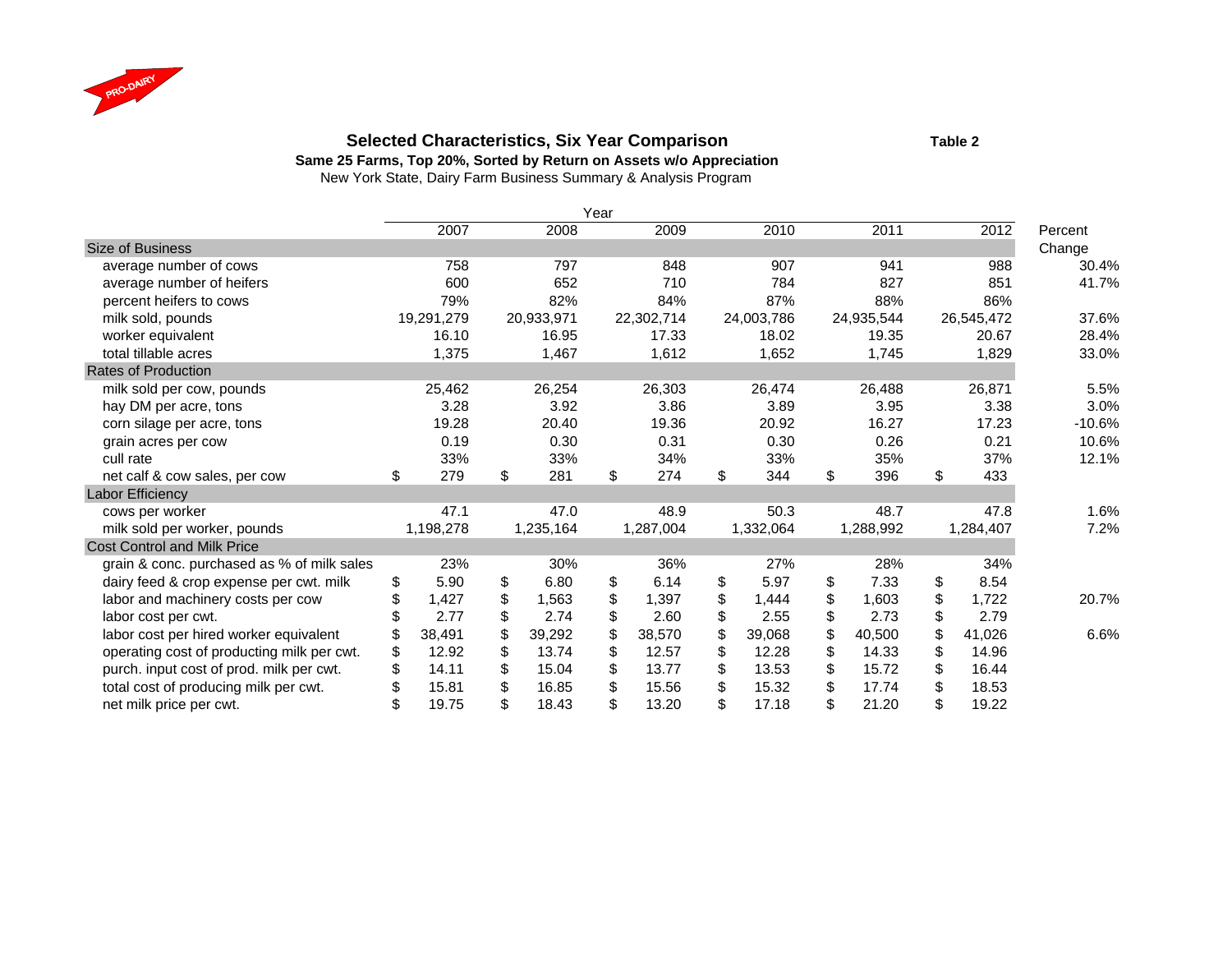

### **Selected Characteristics, Six Year Comparison Table 2**

**Same 25 Farms, Top 20%, Sorted by Return on Assets w/o Appreciation**

|                                            | Year |            |    |            |    |            |    |            |    |            |    |            |          |
|--------------------------------------------|------|------------|----|------------|----|------------|----|------------|----|------------|----|------------|----------|
|                                            |      | 2007       |    | 2008       |    | 2009       |    | 2010       |    | 2011       |    | 2012       | Percent  |
| <b>Size of Business</b>                    |      |            |    |            |    |            |    |            |    |            |    |            | Change   |
| average number of cows                     |      | 758        |    | 797        |    | 848        |    | 907        |    | 941        |    | 988        | 30.4%    |
| average number of heifers                  |      | 600        |    | 652        |    | 710        |    | 784        |    | 827        |    | 851        | 41.7%    |
| percent heifers to cows                    |      | 79%        |    | 82%        |    | 84%        |    | 87%        |    | 88%        |    | 86%        |          |
| milk sold, pounds                          |      | 19,291,279 |    | 20,933,971 |    | 22,302,714 |    | 24,003,786 |    | 24,935,544 |    | 26,545,472 | 37.6%    |
| worker equivalent                          |      | 16.10      |    | 16.95      |    | 17.33      |    | 18.02      |    | 19.35      |    | 20.67      | 28.4%    |
| total tillable acres                       |      | 1,375      |    | 1,467      |    | 1,612      |    | 1,652      |    | 1,745      |    | 1,829      | 33.0%    |
| <b>Rates of Production</b>                 |      |            |    |            |    |            |    |            |    |            |    |            |          |
| milk sold per cow, pounds                  |      | 25,462     |    | 26,254     |    | 26,303     |    | 26,474     |    | 26,488     |    | 26,871     | 5.5%     |
| hay DM per acre, tons                      |      | 3.28       |    | 3.92       |    | 3.86       |    | 3.89       |    | 3.95       |    | 3.38       | 3.0%     |
| corn silage per acre, tons                 |      | 19.28      |    | 20.40      |    | 19.36      |    | 20.92      |    | 16.27      |    | 17.23      | $-10.6%$ |
| grain acres per cow                        |      | 0.19       |    | 0.30       |    | 0.31       |    | 0.30       |    | 0.26       |    | 0.21       | 10.6%    |
| cull rate                                  |      | 33%        |    | 33%        |    | 34%        |    | 33%        |    | 35%        |    | 37%        | 12.1%    |
| net calf & cow sales, per cow              | \$   | 279        | \$ | 281        | \$ | 274        | \$ | 344        | \$ | 396        | \$ | 433        |          |
| Labor Efficiency                           |      |            |    |            |    |            |    |            |    |            |    |            |          |
| cows per worker                            |      | 47.1       |    | 47.0       |    | 48.9       |    | 50.3       |    | 48.7       |    | 47.8       | 1.6%     |
| milk sold per worker, pounds               |      | 1,198,278  |    | 1,235,164  |    | 1,287,004  |    | 1,332,064  |    | 1,288,992  |    | 1,284,407  | 7.2%     |
| <b>Cost Control and Milk Price</b>         |      |            |    |            |    |            |    |            |    |            |    |            |          |
| grain & conc. purchased as % of milk sales |      | 23%        |    | 30%        |    | 36%        |    | 27%        |    | 28%        |    | 34%        |          |
| dairy feed & crop expense per cwt. milk    | \$   | 5.90       | \$ | 6.80       | \$ | 6.14       | \$ | 5.97       | \$ | 7.33       | \$ | 8.54       |          |
| labor and machinery costs per cow          | \$   | 1,427      | \$ | 1,563      | \$ | 1,397      | \$ | 1,444      | \$ | 1,603      | \$ | 1,722      | 20.7%    |
| labor cost per cwt.                        |      | 2.77       | \$ | 2.74       | \$ | 2.60       | \$ | 2.55       | \$ | 2.73       | \$ | 2.79       |          |
| labor cost per hired worker equivalent     | \$   | 38,491     | \$ | 39,292     | \$ | 38,570     | \$ | 39,068     | \$ | 40,500     | \$ | 41,026     | 6.6%     |
| operating cost of producting milk per cwt. | \$   | 12.92      | \$ | 13.74      | \$ | 12.57      | \$ | 12.28      | \$ | 14.33      | \$ | 14.96      |          |
| purch. input cost of prod. milk per cwt.   | \$   | 14.11      | \$ | 15.04      | \$ | 13.77      | \$ | 13.53      | \$ | 15.72      | \$ | 16.44      |          |
| total cost of producing milk per cwt.      | \$   | 15.81      | \$ | 16.85      | \$ | 15.56      | \$ | 15.32      | \$ | 17.74      | \$ | 18.53      |          |
| net milk price per cwt.                    | \$   | 19.75      | \$ | 18.43      | \$ | 13.20      | \$ | 17.18      | \$ | 21.20      | \$ | 19.22      |          |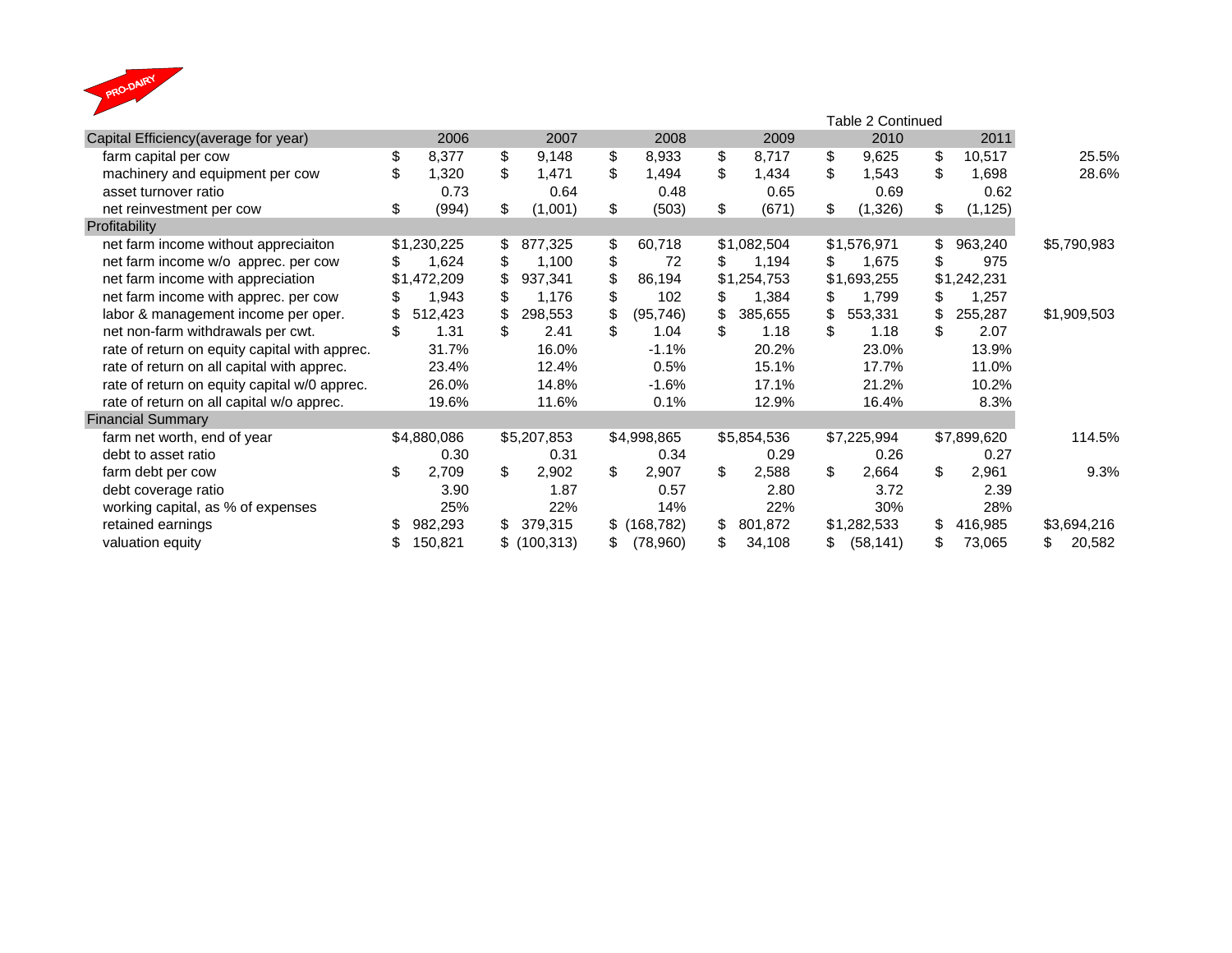

|                                               |    |             |               | Table 2 Continued |               |    |             |    |             |    |             |             |
|-----------------------------------------------|----|-------------|---------------|-------------------|---------------|----|-------------|----|-------------|----|-------------|-------------|
| Capital Efficiency(average for year)          |    | 2006        | 2007          |                   | 2008          |    | 2009        |    | 2010        |    | 2011        |             |
| farm capital per cow                          | \$ | 8,377       | \$<br>9,148   | \$                | 8,933         | \$ | 8,717       | \$ | 9,625       | \$ | 10,517      | 25.5%       |
| machinery and equipment per cow               | \$ | 1,320       | \$<br>1,471   | \$                | 1,494         | \$ | 1,434       | \$ | 1,543       | \$ | 1,698       | 28.6%       |
| asset turnover ratio                          |    | 0.73        | 0.64          |                   | 0.48          |    | 0.65        |    | 0.69        |    | 0.62        |             |
| net reinvestment per cow                      | \$ | (994)       | \$<br>(1,001) | \$                | (503)         | \$ | (671)       | \$ | (1,326)     | \$ | (1, 125)    |             |
| Profitability                                 |    |             |               |                   |               |    |             |    |             |    |             |             |
| net farm income without appreciaiton          |    | \$1,230,225 | \$<br>877,325 | \$                | 60,718        |    | \$1,082,504 |    | \$1,576,971 | \$ | 963,240     | \$5,790,983 |
| net farm income w/o apprec. per cow           |    | 1,624       | \$<br>1,100   | \$                | 72            | \$ | 1,194       | \$ | 1,675       | \$ | 975         |             |
| net farm income with appreciation             |    | \$1,472,209 | \$<br>937,341 | \$                | 86,194        |    | \$1,254,753 |    | \$1,693,255 |    | \$1,242,231 |             |
| net farm income with apprec. per cow          | S  | 1,943       | \$<br>1,176   | \$                | 102           | \$ | 1,384       | \$ | 1,799       | \$ | 1,257       |             |
| labor & management income per oper.           | \$ | 512,423     | \$<br>298,553 | \$                | (95, 746)     | \$ | 385,655     |    | 553,331     | \$ | 255,287     | \$1,909,503 |
| net non-farm withdrawals per cwt.             | \$ | 1.31        | \$<br>2.41    | \$                | 1.04          | \$ | 1.18        | \$ | 1.18        | \$ | 2.07        |             |
| rate of return on equity capital with apprec. |    | 31.7%       | 16.0%         |                   | $-1.1%$       |    | 20.2%       |    | 23.0%       |    | 13.9%       |             |
| rate of return on all capital with apprec.    |    | 23.4%       | 12.4%         |                   | 0.5%          |    | 15.1%       |    | 17.7%       |    | 11.0%       |             |
| rate of return on equity capital w/0 apprec.  |    | 26.0%       | 14.8%         |                   | $-1.6%$       |    | 17.1%       |    | 21.2%       |    | 10.2%       |             |
| rate of return on all capital w/o apprec.     |    | 19.6%       | 11.6%         |                   | 0.1%          |    | 12.9%       |    | 16.4%       |    | 8.3%        |             |
| <b>Financial Summary</b>                      |    |             |               |                   |               |    |             |    |             |    |             |             |
| farm net worth, end of year                   |    | \$4,880,086 | \$5,207,853   |                   | \$4,998,865   |    | \$5,854,536 |    | \$7,225,994 |    | \$7,899,620 | 114.5%      |
| debt to asset ratio                           |    | 0.30        | 0.31          |                   | 0.34          |    | 0.29        |    | 0.26        |    | 0.27        |             |
| farm debt per cow                             | \$ | 2,709       | \$<br>2,902   | \$                | 2,907         | \$ | 2,588       | \$ | 2,664       | \$ | 2,961       | 9.3%        |
| debt coverage ratio                           |    | 3.90        | 1.87          |                   | 0.57          |    | 2.80        |    | 3.72        |    | 2.39        |             |
| working capital, as % of expenses             |    | 25%         | 22%           |                   | 14%           |    | 22%         |    | 30%         |    | 28%         |             |
| retained earnings                             |    | 982,293     | \$<br>379,315 |                   | $$$ (168,782) | \$ | 801,872     |    | \$1,282,533 | \$ | 416,985     | \$3,694,216 |
| valuation equity                              |    | 150,821     | \$(100, 313)  | \$                | (78,960)      | \$ | 34,108      |    | (58, 141)   | \$ | 73,065      | 20,582      |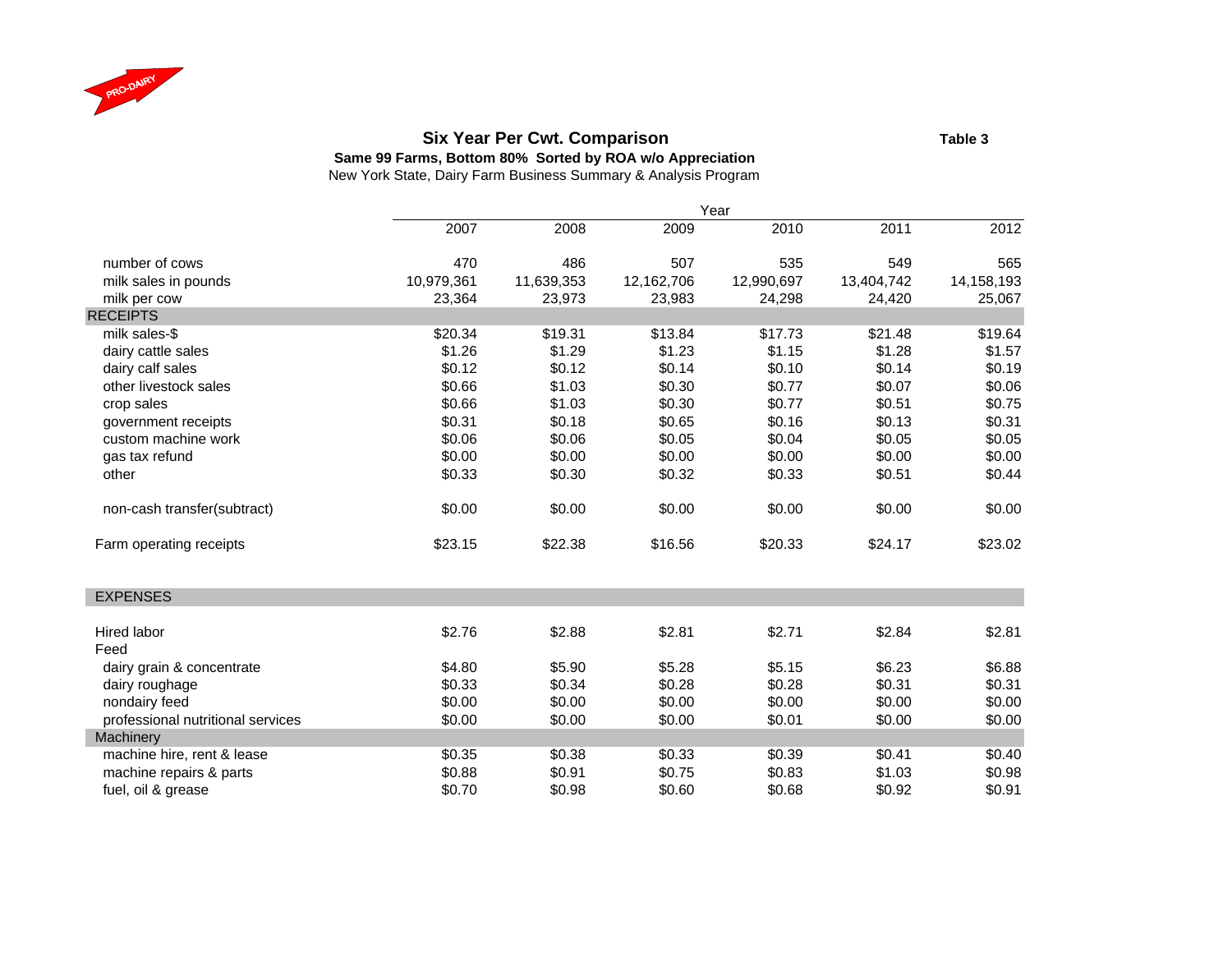

#### **Six Year Per Cwt. Comparison Table 3**

**Same 99 Farms, Bottom 80% Sorted by ROA w/o Appreciation**

|                                   |            |            |            | Year       |            |            |
|-----------------------------------|------------|------------|------------|------------|------------|------------|
|                                   | 2007       | 2008       | 2009       | 2010       | 2011       | 2012       |
| number of cows                    | 470        | 486        | 507        | 535        | 549        | 565        |
| milk sales in pounds              | 10,979,361 | 11,639,353 | 12,162,706 | 12,990,697 | 13,404,742 | 14,158,193 |
| milk per cow                      | 23,364     | 23,973     | 23,983     | 24,298     | 24,420     | 25,067     |
| <b>RECEIPTS</b>                   |            |            |            |            |            |            |
| milk sales-\$                     | \$20.34    | \$19.31    | \$13.84    | \$17.73    | \$21.48    | \$19.64    |
| dairy cattle sales                | \$1.26     | \$1.29     | \$1.23     | \$1.15     | \$1.28     | \$1.57     |
| dairy calf sales                  | \$0.12     | \$0.12     | \$0.14     | \$0.10     | \$0.14     | \$0.19     |
| other livestock sales             | \$0.66     | \$1.03     | \$0.30     | \$0.77     | \$0.07     | \$0.06     |
| crop sales                        | \$0.66     | \$1.03     | \$0.30     | \$0.77     | \$0.51     | \$0.75     |
| government receipts               | \$0.31     | \$0.18     | \$0.65     | \$0.16     | \$0.13     | \$0.31     |
| custom machine work               | \$0.06     | \$0.06     | \$0.05     | \$0.04     | \$0.05     | \$0.05     |
| gas tax refund                    | \$0.00     | \$0.00     | \$0.00     | \$0.00     | \$0.00     | \$0.00     |
| other                             | \$0.33     | \$0.30     | \$0.32     | \$0.33     | \$0.51     | \$0.44     |
| non-cash transfer(subtract)       | \$0.00     | \$0.00     | \$0.00     | \$0.00     | \$0.00     | \$0.00     |
| Farm operating receipts           | \$23.15    | \$22.38    | \$16.56    | \$20.33    | \$24.17    | \$23.02    |
| <b>EXPENSES</b>                   |            |            |            |            |            |            |
| Hired labor                       | \$2.76     | \$2.88     | \$2.81     | \$2.71     | \$2.84     | \$2.81     |
| Feed                              |            |            |            |            |            |            |
| dairy grain & concentrate         | \$4.80     | \$5.90     | \$5.28     | \$5.15     | \$6.23     | \$6.88     |
| dairy roughage                    | \$0.33     | \$0.34     | \$0.28     | \$0.28     | \$0.31     | \$0.31     |
| nondairy feed                     | \$0.00     | \$0.00     | \$0.00     | \$0.00     | \$0.00     | \$0.00     |
| professional nutritional services | \$0.00     | \$0.00     | \$0.00     | \$0.01     | \$0.00     | \$0.00     |
| Machinery                         |            |            |            |            |            |            |
| machine hire, rent & lease        | \$0.35     | \$0.38     | \$0.33     | \$0.39     | \$0.41     | \$0.40     |
| machine repairs & parts           | \$0.88     | \$0.91     | \$0.75     | \$0.83     | \$1.03     | \$0.98     |
| fuel, oil & grease                | \$0.70     | \$0.98     | \$0.60     | \$0.68     | \$0.92     | \$0.91     |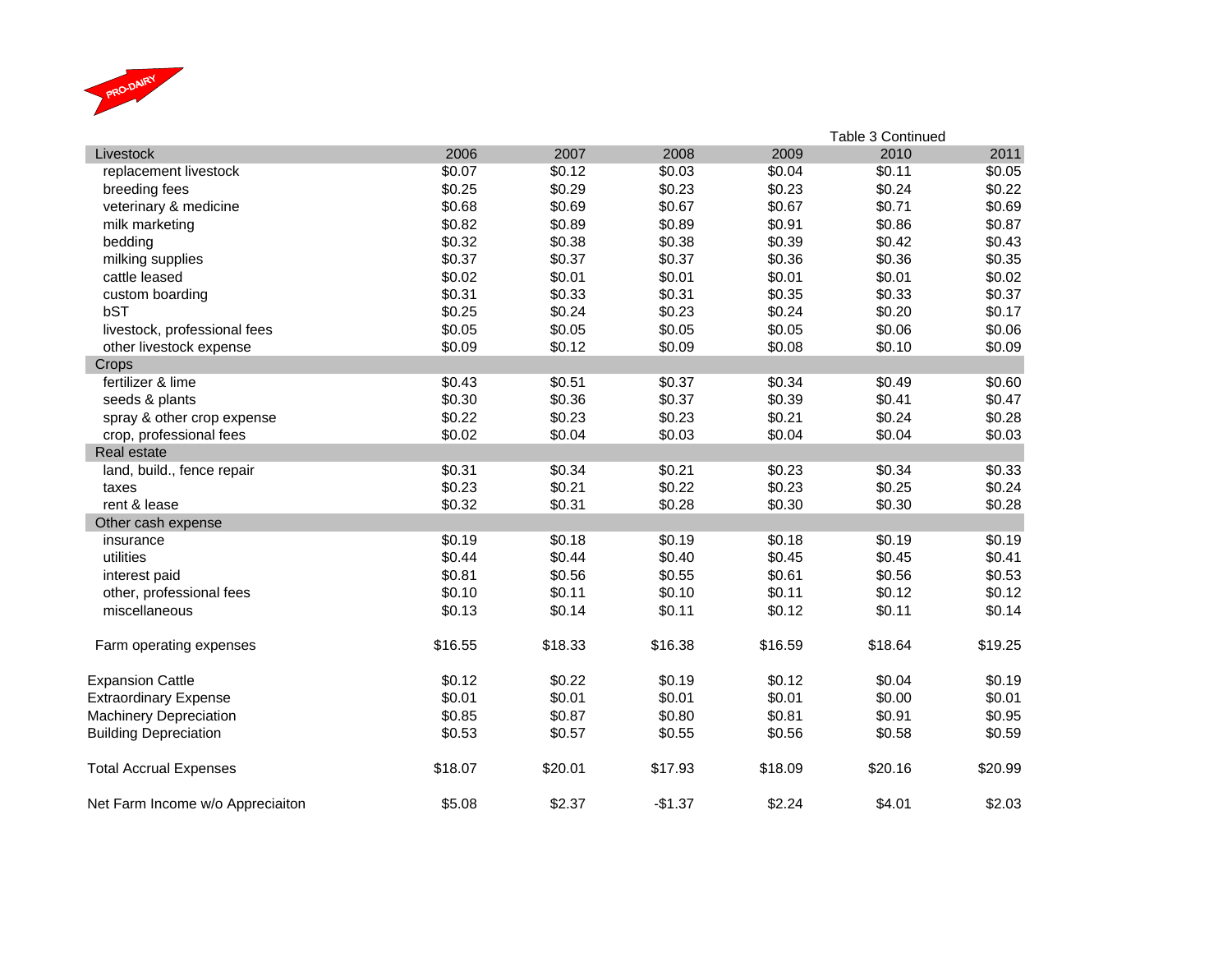

|                                  |         |         |          |         | Table 3 Continued |         |
|----------------------------------|---------|---------|----------|---------|-------------------|---------|
| Livestock                        | 2006    | 2007    | 2008     | 2009    | 2010              | 2011    |
| replacement livestock            | \$0.07  | \$0.12  | \$0.03   | \$0.04  | \$0.11            | \$0.05  |
| breeding fees                    | \$0.25  | \$0.29  | \$0.23   | \$0.23  | \$0.24            | \$0.22  |
| veterinary & medicine            | \$0.68  | \$0.69  | \$0.67   | \$0.67  | \$0.71            | \$0.69  |
| milk marketing                   | \$0.82  | \$0.89  | \$0.89   | \$0.91  | \$0.86            | \$0.87  |
| bedding                          | \$0.32  | \$0.38  | \$0.38   | \$0.39  | \$0.42            | \$0.43  |
| milking supplies                 | \$0.37  | \$0.37  | \$0.37   | \$0.36  | \$0.36            | \$0.35  |
| cattle leased                    | \$0.02  | \$0.01  | \$0.01   | \$0.01  | \$0.01            | \$0.02  |
| custom boarding                  | \$0.31  | \$0.33  | \$0.31   | \$0.35  | \$0.33            | \$0.37  |
| bST                              | \$0.25  | \$0.24  | \$0.23   | \$0.24  | \$0.20            | \$0.17  |
| livestock, professional fees     | \$0.05  | \$0.05  | \$0.05   | \$0.05  | \$0.06            | \$0.06  |
| other livestock expense          | \$0.09  | \$0.12  | \$0.09   | \$0.08  | \$0.10            | \$0.09  |
| Crops                            |         |         |          |         |                   |         |
| fertilizer & lime                | \$0.43  | \$0.51  | \$0.37   | \$0.34  | \$0.49            | \$0.60  |
| seeds & plants                   | \$0.30  | \$0.36  | \$0.37   | \$0.39  | \$0.41            | \$0.47  |
| spray & other crop expense       | \$0.22  | \$0.23  | \$0.23   | \$0.21  | \$0.24            | \$0.28  |
| crop, professional fees          | \$0.02  | \$0.04  | \$0.03   | \$0.04  | \$0.04            | \$0.03  |
| Real estate                      |         |         |          |         |                   |         |
| land, build., fence repair       | \$0.31  | \$0.34  | \$0.21   | \$0.23  | \$0.34            | \$0.33  |
| taxes                            | \$0.23  | \$0.21  | \$0.22   | \$0.23  | \$0.25            | \$0.24  |
| rent & lease                     | \$0.32  | \$0.31  | \$0.28   | \$0.30  | \$0.30            | \$0.28  |
| Other cash expense               |         |         |          |         |                   |         |
| insurance                        | \$0.19  | \$0.18  | \$0.19   | \$0.18  | \$0.19            | \$0.19  |
| utilities                        | \$0.44  | \$0.44  | \$0.40   | \$0.45  | \$0.45            | \$0.41  |
| interest paid                    | \$0.81  | \$0.56  | \$0.55   | \$0.61  | \$0.56            | \$0.53  |
| other, professional fees         | \$0.10  | \$0.11  | \$0.10   | \$0.11  | \$0.12            | \$0.12  |
| miscellaneous                    | \$0.13  | \$0.14  | \$0.11   | \$0.12  | \$0.11            | \$0.14  |
| Farm operating expenses          | \$16.55 | \$18.33 | \$16.38  | \$16.59 | \$18.64           | \$19.25 |
| <b>Expansion Cattle</b>          | \$0.12  | \$0.22  | \$0.19   | \$0.12  | \$0.04            | \$0.19  |
| <b>Extraordinary Expense</b>     | \$0.01  | \$0.01  | \$0.01   | \$0.01  | \$0.00            | \$0.01  |
| <b>Machinery Depreciation</b>    | \$0.85  | \$0.87  | \$0.80   | \$0.81  | \$0.91            | \$0.95  |
| <b>Building Depreciation</b>     | \$0.53  | \$0.57  | \$0.55   | \$0.56  | \$0.58            | \$0.59  |
| <b>Total Accrual Expenses</b>    | \$18.07 | \$20.01 | \$17.93  | \$18.09 | \$20.16           | \$20.99 |
| Net Farm Income w/o Appreciaiton | \$5.08  | \$2.37  | $-$1.37$ | \$2.24  | \$4.01            | \$2.03  |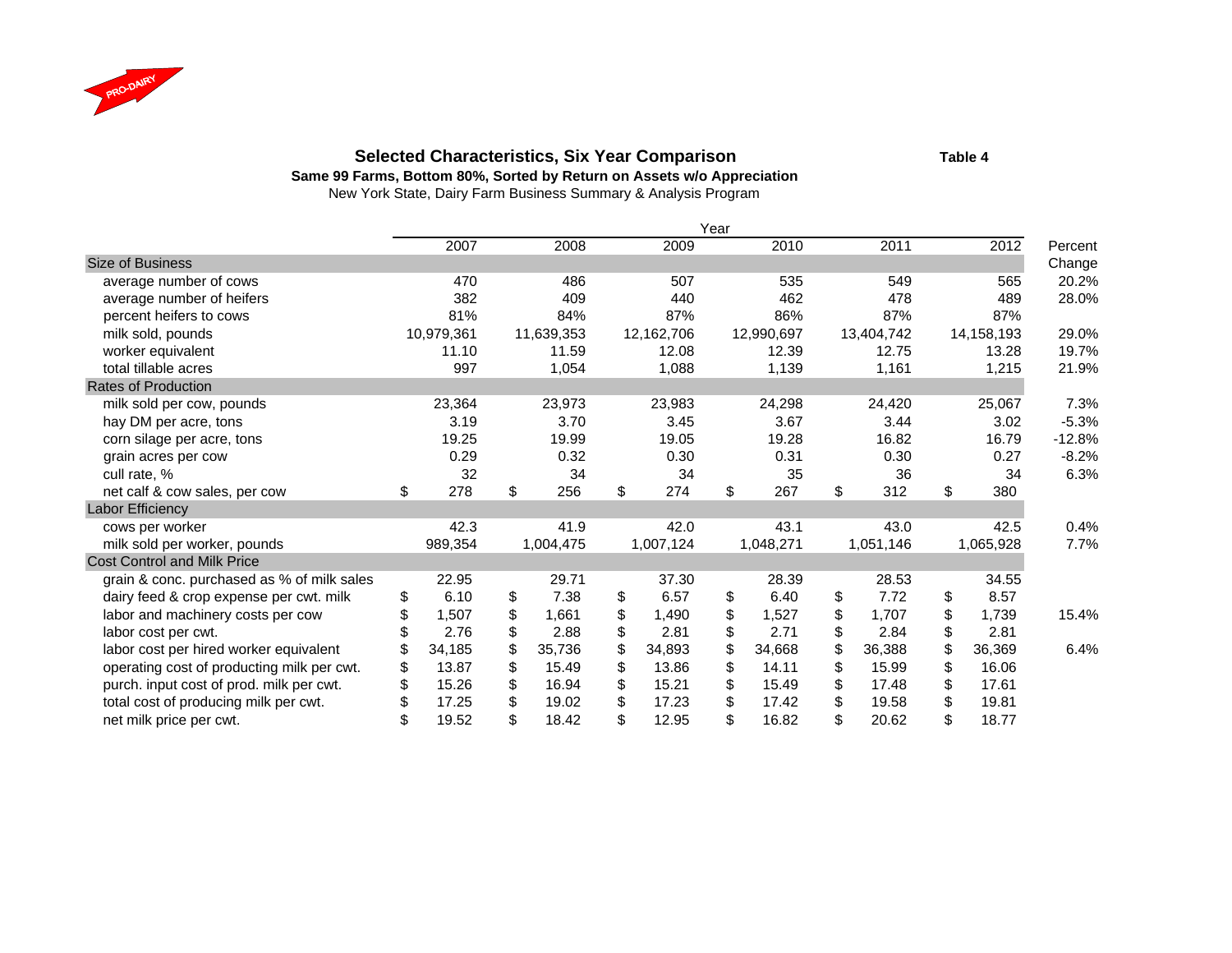

### **Selected Characteristics, Six Year Comparison Table 4**

**Same 99 Farms, Bottom 80%, Sorted by Return on Assets w/o Appreciation**

|                                            |             |              |              | Year |            |             |              |          |
|--------------------------------------------|-------------|--------------|--------------|------|------------|-------------|--------------|----------|
|                                            | 2007        | 2008         | 2009         |      | 2010       | 2011        | 2012         | Percent  |
| <b>Size of Business</b>                    |             |              |              |      |            |             |              | Change   |
| average number of cows                     | 470         | 486          | 507          |      | 535        | 549         | 565          | 20.2%    |
| average number of heifers                  | 382         | 409          | 440          |      | 462        | 478         | 489          | 28.0%    |
| percent heifers to cows                    | 81%         | 84%          | 87%          |      | 86%        | 87%         | 87%          |          |
| milk sold, pounds                          | 10,979,361  | 11,639,353   | 12,162,706   |      | 12,990,697 | 13,404,742  | 14,158,193   | 29.0%    |
| worker equivalent                          | 11.10       | 11.59        | 12.08        |      | 12.39      | 12.75       | 13.28        | 19.7%    |
| total tillable acres                       | 997         | 1,054        | 1,088        |      | 1,139      | 1,161       | 1,215        | 21.9%    |
| Rates of Production                        |             |              |              |      |            |             |              |          |
| milk sold per cow, pounds                  | 23,364      | 23,973       | 23,983       |      | 24,298     | 24,420      | 25,067       | 7.3%     |
| hay DM per acre, tons                      | 3.19        | 3.70         | 3.45         |      | 3.67       | 3.44        | 3.02         | $-5.3%$  |
| corn silage per acre, tons                 | 19.25       | 19.99        | 19.05        |      | 19.28      | 16.82       | 16.79        | $-12.8%$ |
| grain acres per cow                        | 0.29        | 0.32         | 0.30         |      | 0.31       | 0.30        | 0.27         | $-8.2%$  |
| cull rate, %                               | 32          | 34           | 34           |      | 35         | 36          | 34           | 6.3%     |
| net calf & cow sales, per cow              | \$<br>278   | \$<br>256    | \$<br>274    | \$   | 267        | \$<br>312   | \$<br>380    |          |
| Labor Efficiency                           |             |              |              |      |            |             |              |          |
| cows per worker                            | 42.3        | 41.9         | 42.0         |      | 43.1       | 43.0        | 42.5         | 0.4%     |
| milk sold per worker, pounds               | 989,354     | 1,004,475    | 1,007,124    |      | 1,048,271  | 1,051,146   | 1,065,928    | 7.7%     |
| <b>Cost Control and Milk Price</b>         |             |              |              |      |            |             |              |          |
| grain & conc. purchased as % of milk sales | 22.95       | 29.71        | 37.30        |      | 28.39      | 28.53       | 34.55        |          |
| dairy feed & crop expense per cwt. milk    | \$<br>6.10  | \$<br>7.38   | \$<br>6.57   | \$   | 6.40       | \$<br>7.72  | \$<br>8.57   |          |
| labor and machinery costs per cow          | \$<br>1,507 | \$<br>1,661  | \$<br>1,490  | \$   | 1,527      | \$<br>1,707 | \$<br>1,739  | 15.4%    |
| labor cost per cwt.                        | 2.76        | \$<br>2.88   | \$<br>2.81   | \$   | 2.71       | \$<br>2.84  | \$<br>2.81   |          |
| labor cost per hired worker equivalent     | 34,185      | \$<br>35,736 | \$<br>34,893 | \$   | 34,668     | 36,388      | \$<br>36,369 | 6.4%     |
| operating cost of producting milk per cwt. | \$<br>13.87 | \$<br>15.49  | \$<br>13.86  | \$   | 14.11      | \$<br>15.99 | \$<br>16.06  |          |
| purch. input cost of prod. milk per cwt.   | 15.26       | \$<br>16.94  | \$<br>15.21  |      | 15.49      | \$<br>17.48 | \$<br>17.61  |          |
| total cost of producing milk per cwt.      | 17.25       | 19.02        | 17.23        |      | 17.42      | 19.58       | \$<br>19.81  |          |
| net milk price per cwt.                    | 19.52       | \$<br>18.42  | \$<br>12.95  | \$   | 16.82      | \$<br>20.62 | \$<br>18.77  |          |